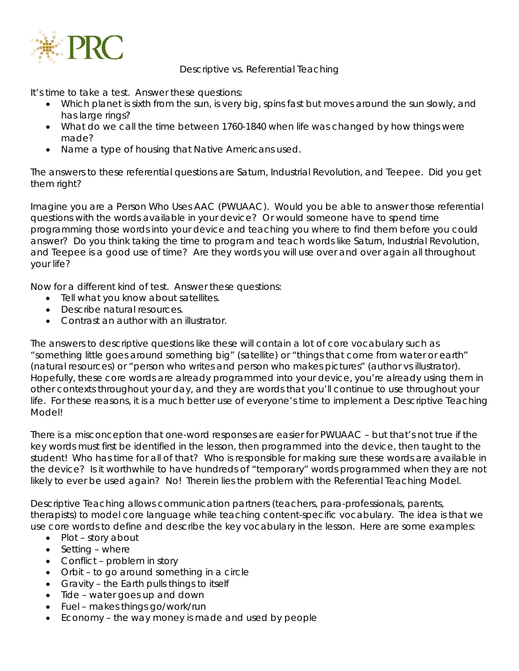

Descriptive vs. Referential Teaching

It's time to take a test. Answer these questions:

- Which planet is sixth from the sun, is very big, spins fast but moves around the sun slowly, and has large rings?
- What do we call the time between 1760-1840 when life was changed by how things were made?
- Name a type of housing that Native Americans used.

The answers to these referential questions are *Saturn*, *Industrial Revolution*, and *Teepee*. Did you get them right?

Imagine you are a Person Who Uses AAC (PWUAAC). Would you be able to answer those referential questions with the words available in your device? Or would someone have to spend time programming those words into your device and teaching you where to find them before you could answer? Do you think taking the time to program and teach words like *Saturn*, *Industrial Revolution*, and *Teepee* is a good use of time? Are they words you will use over and over again all throughout your life?

Now for a different kind of test. Answer these questions:

- Tell what you know about satellites.
- Describe natural resources.
- Contrast an author with an illustrator.

The answers to descriptive questions like these will contain a lot of core vocabulary such as "something little goes around something big" (satellite) or "things that come from water or earth" (natural resources) or "person who writes and person who makes pictures" (author vs illustrator). Hopefully, these core words are already programmed into your device, you're already using them in other contexts throughout your day, and they are words that you'll continue to use throughout your life. For these reasons, it is a much better use of everyone's time to implement a Descriptive Teaching Model!

There is a misconception that one-word responses are easier for PWUAAC – but that's not true if the key words must first be identified in the lesson, then programmed into the device, then taught to the student! Who has time for all of that? Who is responsible for making sure these words are available in the device? Is it worthwhile to have hundreds of "temporary" words programmed when they are not likely to ever be used again? No! Therein lies the problem with the Referential Teaching Model.

Descriptive Teaching allows communication partners (teachers, para-professionals, parents, therapists) to model core language while teaching content-specific vocabulary. The idea is that we use core words to define and describe the key vocabulary in the lesson. Here are some examples:

- Plot story about
- Setting where
- Conflict problem in story
- Orbit to go around something in a circle
- Gravity the Earth pulls things to itself
- Tide water goes up and down
- Fuel makes things go/work/run
- Economy the way money is made and used by people